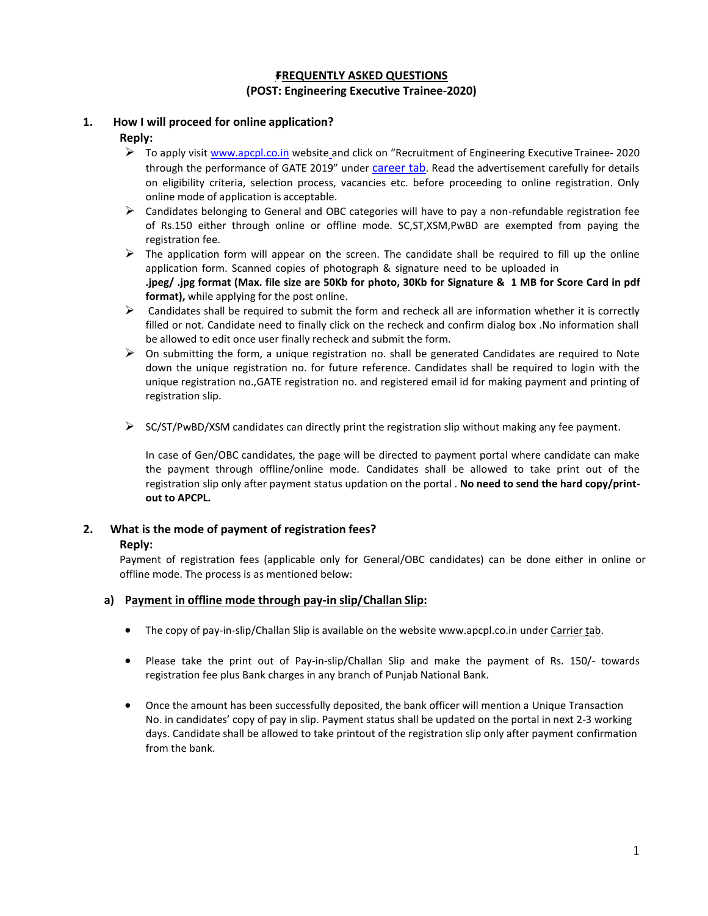# **+FREQUENTLY ASKED QUESTIONS (POST: Engineering Executive Trainee-2020)**

## **1. How I will proceed for online application? Reply:**

- To apply visit [www.apcpl.co.in](http://www.apcpl.co.in/) website and click on "Recruitment of Engineering Executive Trainee- 2020 through the performance of GATE 2019" under career tab. Read the advertisement carefully for details on eligibility criteria, selection process, vacancies etc. before proceeding to online registration. Only online mode of application is acceptable.
- $\triangleright$  Candidates belonging to General and OBC categories will have to pay a non-refundable registration fee of Rs.150 either through online or offline mode. SC,ST,XSM,PwBD are exempted from paying the registration fee.
- $\triangleright$  The application form will appear on the screen. The candidate shall be required to fill up the online application form. Scanned copies of photograph & signature need to be uploaded in **.jpeg/ .jpg format (Max. file size are 50Kb for photo, 30Kb for Signature & 1 MB for Score Card in pdf format),** while applying for the post online.
- $\triangleright$  Candidates shall be required to submit the form and recheck all are information whether it is correctly filled or not. Candidate need to finally click on the recheck and confirm dialog box .No information shall be allowed to edit once user finally recheck and submit the form.
- $\triangleright$  On submitting the form, a unique registration no. shall be generated Candidates are required to Note down the unique registration no. for future reference. Candidates shall be required to login with the unique registration no.,GATE registration no. and registered email id for making payment and printing of registration slip.
- $\triangleright$  SC/ST/PwBD/XSM candidates can directly print the registration slip without making any fee payment.

In case of Gen/OBC candidates, the page will be directed to payment portal where candidate can make the payment through offline/online mode. Candidates shall be allowed to take print out of the registration slip only after payment status updation on the portal . **No need to send the hard copy/printout to APCPL.**

### **2. What is the mode of payment of registration fees?**

### **Reply:**

Payment of registration fees (applicable only for General/OBC candidates) can be done either in online or offline mode. The process is as mentioned below:

### **a) Payment in offline mode through pay-in slip/Challan Slip:**

- The copy of pay-in-slip/Challan Slip is available on the website www.apcpl.co.in under Carrier tab.
- Please take the print out of Pay-in-slip/Challan Slip and make the payment of Rs. 150/- towards registration fee plus Bank charges in any branch of Punjab National Bank.
- Once the amount has been successfully deposited, the bank officer will mention a Unique Transaction No. in candidates' copy of pay in slip. Payment status shall be updated on the portal in next 2-3 working days. Candidate shall be allowed to take printout of the registration slip only after payment confirmation from the bank.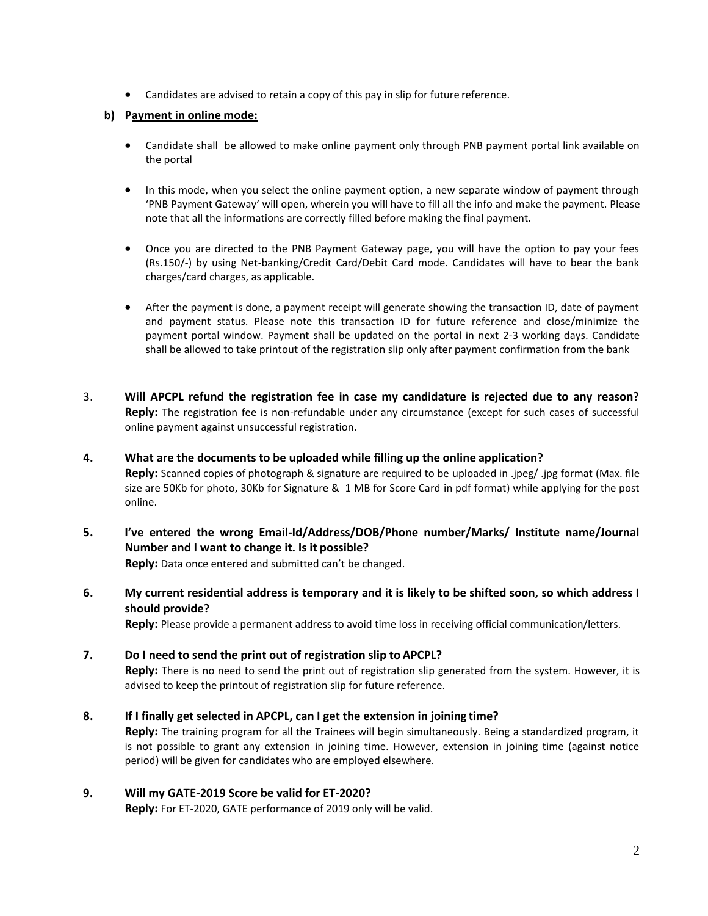Candidates are advised to retain a copy of this pay in slip for future reference.

### **b) Payment in online mode:**

- Candidate shall be allowed to make online payment only through PNB payment portal link available on the portal
- In this mode, when you select the online payment option, a new separate window of payment through 'PNB Payment Gateway' will open, wherein you will have to fill all the info and make the payment. Please note that all the informations are correctly filled before making the final payment.
- Once you are directed to the PNB Payment Gateway page, you will have the option to pay your fees (Rs.150/-) by using Net-banking/Credit Card/Debit Card mode. Candidates will have to bear the bank charges/card charges, as applicable.
- After the payment is done, a payment receipt will generate showing the transaction ID, date of payment and payment status. Please note this transaction ID for future reference and close/minimize the payment portal window. Payment shall be updated on the portal in next 2-3 working days. Candidate shall be allowed to take printout of the registration slip only after payment confirmation from the bank
- 3. **Will APCPL refund the registration fee in case my candidature is rejected due to any reason? Reply:** The registration fee is non-refundable under any circumstance (except for such cases of successful online payment against unsuccessful registration.
- **4. What are the documents to be uploaded while filling up the online application? Reply:** Scanned copies of photograph & signature are required to be uploaded in .jpeg/ .jpg format (Max. file size are 50Kb for photo, 30Kb for Signature & 1 MB for Score Card in pdf format) while applying for the post online.
- **5. I've entered the wrong Email-Id/Address/DOB/Phone number/Marks/ Institute name/Journal Number and I want to change it. Is it possible? Reply:** Data once entered and submitted can't be changed.
- **6. My current residential address is temporary and it is likely to be shifted soon, so which address I should provide?**

**Reply:** Please provide a permanent address to avoid time loss in receiving official communication/letters.

### **7. Do I need to send the print out of registration slip to APCPL?**

**Reply:** There is no need to send the print out of registration slip generated from the system. However, it is advised to keep the printout of registration slip for future reference.

### **8. If I finally get selected in APCPL, can I get the extension in joining time?**

**Reply:** The training program for all the Trainees will begin simultaneously. Being a standardized program, it is not possible to grant any extension in joining time. However, extension in joining time (against notice period) will be given for candidates who are employed elsewhere.

#### **9. Will my GATE-2019 Score be valid for ET-2020?**

**Reply:** For ET-2020, GATE performance of 2019 only will be valid.